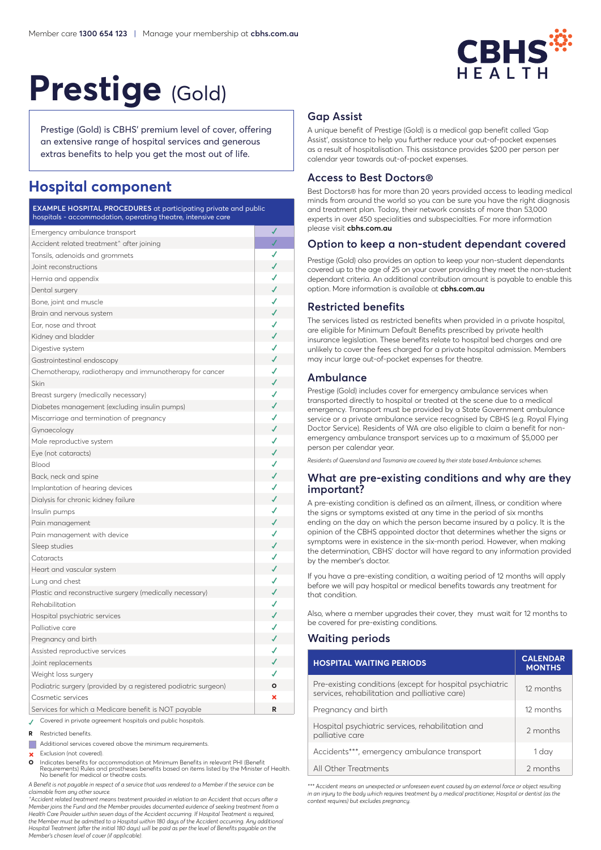

# Prestige (Gold)

Prestige (Gold) is CBHS' premium level of cover, offering an extensive range of hospital services and generous extras benefits to help you get the most out of life.

## **Hospital component**

| <b>EXAMPLE HOSPITAL PROCEDURES</b> at participating private and public<br>hospitals - accommodation, operating theatre, intensive care |   |
|----------------------------------------------------------------------------------------------------------------------------------------|---|
| Emergency ambulance transport                                                                                                          |   |
| Accident related treatment <sup>^</sup> after joining                                                                                  | √ |
| Tonsils, adenoids and grommets                                                                                                         |   |
| Joint reconstructions                                                                                                                  | ✓ |
| Hernia and appendix                                                                                                                    | ✔ |
| Dental surgery                                                                                                                         | ✓ |
| Bone, joint and muscle                                                                                                                 | ✓ |
| Brain and nervous system                                                                                                               | ✓ |
| Ear, nose and throat                                                                                                                   | J |
| Kidney and bladder                                                                                                                     | J |
| Digestive system                                                                                                                       | ✓ |
| Gastrointestinal endoscopy                                                                                                             | ✔ |
| Chemotherapy, radiotherapy and immunotherapy for cancer                                                                                | J |
| Skin                                                                                                                                   | ✓ |
| Breast surgery (medically necessary)                                                                                                   | J |
| Diabetes management (excluding insulin pumps)                                                                                          | J |
| Miscarriage and termination of pregnancy                                                                                               | ✔ |
| Gynaecology                                                                                                                            | ✓ |
| Male reproductive system                                                                                                               | J |
| Eye (not cataracts)                                                                                                                    | ✓ |
| Blood                                                                                                                                  | ✔ |
| Back, neck and spine                                                                                                                   | J |
| Implantation of hearing devices                                                                                                        | ✔ |
| Dialysis for chronic kidney failure                                                                                                    |   |
| Insulin pumps                                                                                                                          | ℐ |
| Pain management                                                                                                                        | ✓ |
| Pain management with device                                                                                                            | ✔ |
| Sleep studies                                                                                                                          | J |
| Cataracts                                                                                                                              | ✔ |
| Heart and vascular system                                                                                                              |   |
| Lung and chest                                                                                                                         | ℐ |
| Plastic and reconstructive surgery (medically necessary)                                                                               | ✓ |
| Rehabilitation                                                                                                                         | ✔ |
| Hospital psychiatric services                                                                                                          | J |
| Palliative care                                                                                                                        | ✔ |
| Pregnancy and birth                                                                                                                    | ℐ |
| Assisted reproductive services                                                                                                         | ✔ |
| Joint replacements                                                                                                                     | ✓ |
| Weight loss surgery                                                                                                                    | ✔ |
| Podiatric surgery (provided by a registered podiatric surgeon)                                                                         | Ο |
| Cosmetic services                                                                                                                      | × |
| Services for which a Medicare benefit is NOT payable                                                                                   | R |
| Covered in private agreement hospitals and public hospitals.                                                                           |   |

**<sup>R</sup>**  Restricted benefits.

 Additional services covered above the minimum requirements.

 Exclusion (not covered).

**O** Indicates benefits for accommodation at Minimum Benefits in relevant PHI (Benefit Requirements) Rules and prostheses benefits based on items listed by the Minister of Health. No benefit for medical or theatre costs.

*A Benefit is not payable in respect of a service that was rendered to a Member if the service can be claimable from any other source.*

*^Accident related treatment means treatment provided in relation to an Accident that occurs after a Member joins the Fund and the Member provides documented evidence of seeking treatment from a Health Care Provider within seven days of the Accident occurring. If Hospital Treatment is required, the Member must be admitted to a Hospital within 180 days of the Accident occurring. Any additional Hospital Treatment (after the initial 180 days) will be paid as per the level of Benefits payable on the Member's chosen level of cover (if applicable).*

## **Gap Assist**

A unique benefit of Prestige (Gold) is a medical gap benefit called 'Gap Assist', assistance to help you further reduce your out-of-pocket expenses as a result of hospitalisation. This assistance provides \$200 per person per calendar year towards out-of-pocket expenses.

#### **Access to Best Doctors®**

Best Doctors® has for more than 20 years provided access to leading medical minds from around the world so you can be sure you have the right diagnosis and treatment plan. Today, their network consists of more than 53,000 experts in over 450 specialities and subspecialties. For more information please visit **cbhs.com.au**

#### **Option to keep a non-student dependant covered**

Prestige (Gold) also provides an option to keep your non-student dependants covered up to the age of 25 on your cover providing they meet the non-student dependant criteria. An additional contribution amount is payable to enable this option. More information is available at **cbhs.com.au**

#### **Restricted benefits**

The services listed as restricted benefits when provided in a private hospital, are eligible for Minimum Default Benefits prescribed by private health insurance legislation. These benefits relate to hospital bed charges and are unlikely to cover the fees charged for a private hospital admission. Members may incur large out-of-pocket expenses for theatre.

#### **Ambulance**

Prestige (Gold) includes cover for emergency ambulance services when transported directly to hospital or treated at the scene due to a medical emergency. Transport must be provided by a State Government ambulance service or a private ambulance service recognised by CBHS (e.g. Royal Flying Doctor Service). Residents of WA are also eligible to claim a benefit for nonemergency ambulance transport services up to a maximum of \$5,000 per person per calendar year.

*Residents of Queensland and Tasmania are covered by their state based Ambulance schemes.*

#### **What are pre-existing conditions and why are they important?**

A pre-existing condition is defined as an ailment, illness, or condition where the signs or symptoms existed at any time in the period of six months ending on the day on which the person became insured by a policy. It is the opinion of the CBHS appointed doctor that determines whether the signs or symptoms were in existence in the six-month period. However, when making the determination, CBHS' doctor will have regard to any information provided by the member's doctor.

If you have a pre-existing condition, a waiting period of 12 months will apply before we will pay hospital or medical benefits towards any treatment for that condition.

Also, where a member upgrades their cover, they must wait for 12 months to be covered for pre-existing conditions.

## **Waiting periods**

| <b>HOSPITAL WAITING PERIODS</b>                                                                           | <b>CALENDAR</b><br><b>MONTHS</b> |
|-----------------------------------------------------------------------------------------------------------|----------------------------------|
| Pre-existing conditions (except for hospital psychiatric<br>services, rehabilitation and palliative care) | 12 months                        |
| Pregnancy and birth                                                                                       | 12 months                        |
| Hospital psychiatric services, rehabilitation and<br>palliative care                                      | 2 months                         |
| Accidents***, emergency ambulance transport                                                               | 1 day                            |
| All Other Treatments                                                                                      | 2 months                         |

*\*\*\* Accident means an unexpected or unforeseen event caused by an external force or object resulting in an injury to the body which requires treatment by a medical practitioner, Hospital or dentist (as the context requires) but excludes pregnancy.*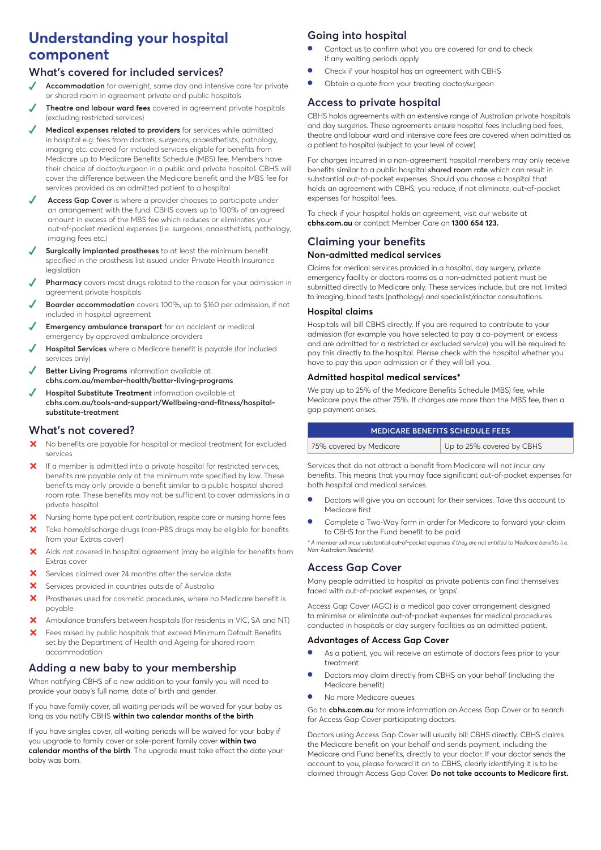# **Understanding your hospital component**

## **What's covered for included services?**

- **Accommodation** for overnight, same day and intensive care for private or shared room in agreement private and public hospitals
- **✓ Theatre and labour ward fees** covered in agreement private hospitals (excluding restricted services)
- **Medical expenses related to providers** for services while admitted in hospital e.g. fees from doctors, surgeons, anaesthetists, pathology, imaging etc. covered for included services eligible for benefits from Medicare up to Medicare Benefits Schedule (MBS) fee. Members have their choice of doctor/surgeon in a public and private hospital. CBHS will cover the difference between the Medicare benefit and the MBS fee for services provided as an admitted patient to a hospital
- Access Gap Cover is where a provider chooses to participate under an arrangement with the fund. CBHS covers up to 100% of an agreed amount in excess of the MBS fee which reduces or eliminates your out-of-pocket medical expenses (i.e. surgeons, anaesthetists, pathology, imaging fees etc.)
- **Surgically implanted prostheses** to at least the minimum benefit specified in the prosthesis list issued under Private Health Insurance legislation
- **Pharmacy** covers most drugs related to the reason for your admission in agreement private hospitals
- Boarder accommodation covers 100%, up to \$160 per admission, if not included in hospital agreement
- **Emergency ambulance transport** for an accident or medical emergency by approved ambulance providers
- **Hospital Services** where a Medicare benefit is payable (for included services only)
- **Better Living Programs** information available at **cbhs.com.au/member-health/better-living-programs**
- **Hospital Substitute Treatment** information available at **cbhs.com.au/tools-and-support/Wellbeing-and-fitness/hospitalsubstitute-treatment**

## **What's not covered?**

- X No benefits are payable for hospital or medical treatment for excluded services
- X If a member is admitted into a private hospital for restricted services, benefits are payable only at the minimum rate specified by law. These benefits may only provide a benefit similar to a public hospital shared room rate. These benefits may not be sufficient to cover admissions in a private hospital
- X Nursing home type patient contribution, respite care or nursing home fees
- Take home/discharge drugs (non-PBS drugs may be eligible for benefits from your Extras cover)
- Aids not covered in hospital agreement (may be eligible for benefits from Extras cover
- ³ Services claimed over 24 months after the service date
- **X** Services provided in countries outside of Australia
- X Prostheses used for cosmetic procedures, where no Medicare benefit is payable
- X Ambulance transfers between hospitals (for residents in VIC, SA and NT)
- **X** Fees raised by public hospitals that exceed Minimum Default Benefits set by the Department of Health and Ageing for shared room accommodation

## **Adding a new baby to your membership**

When notifying CBHS of a new addition to your family you will need to provide your baby's full name, date of birth and gender.

If you have family cover, all waiting periods will be waived for your baby as long as you notify CBHS **within two calendar months of the birth**.

If you have singles cover, all waiting periods will be waived for your baby if you upgrade to family cover or sole-parent family cover **within two calendar months of the birth**. The upgrade must take effect the date your baby was born.

## **Going into hospital**

- Contact us to confirm what you are covered for and to check if any waiting periods apply
- Check if your hospital has an agreement with CBHS
- Obtain a quote from your treating doctor/surgeon

#### **Access to private hospital**

CBHS holds agreements with an extensive range of Australian private hospitals and day surgeries. These agreements ensure hospital fees including bed fees, theatre and labour ward and intensive care fees are covered when admitted as a patient to hospital (subject to your level of cover).

For charges incurred in a non-agreement hospital members may only receive benefits similar to a public hospital shared room rate which can result in substantial out-of-pocket expenses. Should you choose a hospital that holds an agreement with CBHS, you reduce, if not eliminate, out-of-pocket expenses for hospital fees.

To check if your hospital holds an agreement, visit our website at **cbhs.com.au** or contact Member Care on **1300 654 123.**

## **Claiming your benefits Non-admitted medical services**

Claims for medical services provided in a hospital, day surgery, private emergency facility or doctors rooms as a non-admitted patient must be submitted directly to Medicare only. These services include, but are not limited to imaging, blood tests (pathology) and specialist/doctor consultations.

#### **Hospital claims**

Hospitals will bill CBHS directly. If you are required to contribute to your admission (for example you have selected to pay a co-payment or excess and are admitted for a restricted or excluded service) you will be required to pay this directly to the hospital. Please check with the hospital whether you have to pay this upon admission or if they will bill you.

#### **Admitted hospital medical services\***

We pay up to 25% of the Medicare Benefits Schedule (MBS) fee, while Medicare pays the other 75%. If charges are more than the MBS fee, then a gap payment arises.

| <b>MEDICARE BENEFITS SCHEDULE FEES</b> |  |
|----------------------------------------|--|
|                                        |  |

| 75% covered by Medicare | Up to 25% covered by CBHS |
|-------------------------|---------------------------|
|-------------------------|---------------------------|

Services that do not attract a benefit from Medicare will not incur any benefits. This means that you may face significant out-of-pocket expenses for both hospital and medical services.

- Doctors will give you an account for their services. Take this account to Medicare first
- Complete a Two-Way form in order for Medicare to forward your claim to CBHS for the Fund benefit to be paid

*\* A member will incur substantial out-of-pocket expenses if they are not entitled to Medicare benefits (i.e. Non-Australian Residents).*

## **Access Gap Cover**

Many people admitted to hospital as private patients can find themselves faced with out-of-pocket expenses, or 'gaps'.

Access Gap Cover (AGC) is a medical gap cover arrangement designed to minimise or eliminate out-of-pocket expenses for medical procedures conducted in hospitals or day surgery facilities as an admitted patient.

#### **Advantages of Access Gap Cover**

- As a patient, you will receive an estimate of doctors fees prior to your treatment
- Doctors may claim directly from CBHS on your behalf (including the Medicare benefit)
- No more Medicare queues

Go to **cbhs.com.au** for more information on Access Gap Cover or to search for Access Gap Cover participating doctors.

Doctors using Access Gap Cover will usually bill CBHS directly. CBHS claims the Medicare benefit on your behalf and sends payment, including the Medicare and Fund benefits, directly to your doctor. If your doctor sends the account to you, please forward it on to CBHS, clearly identifying it is to be claimed through Access Gap Cover. **Do not take accounts to Medicare first.**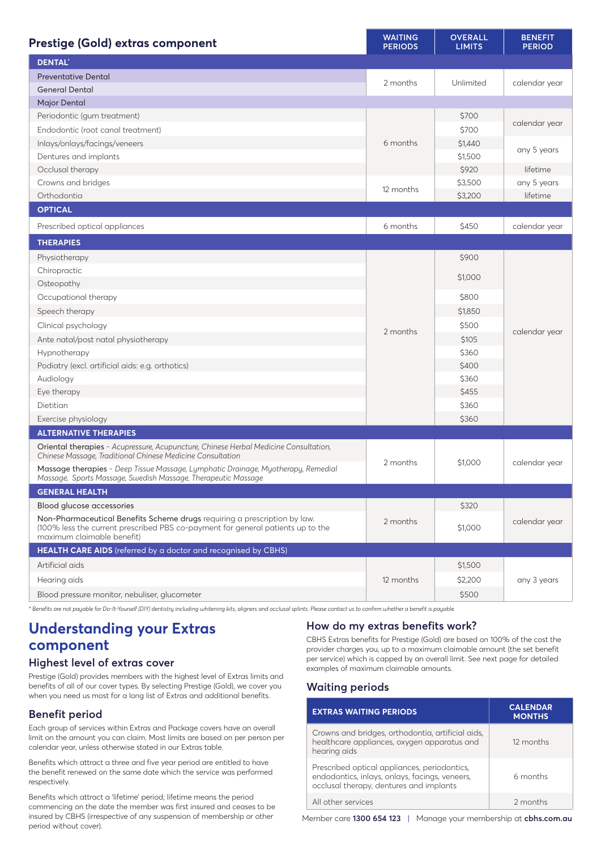| <b>Prestige (Gold) extras component</b>                                                                                                                                                    | <b>WAITING</b><br><b>PERIODS</b> | <b>OVERALL</b><br><b>LIMITS</b> | <b>BENEFIT</b><br><b>PERIOD</b> |
|--------------------------------------------------------------------------------------------------------------------------------------------------------------------------------------------|----------------------------------|---------------------------------|---------------------------------|
| <b>DENTAL</b>                                                                                                                                                                              |                                  |                                 |                                 |
| <b>Preventative Dental</b>                                                                                                                                                                 | 2 months                         | Unlimited                       | calendar year                   |
| <b>General Dental</b>                                                                                                                                                                      |                                  |                                 |                                 |
| Major Dental                                                                                                                                                                               |                                  |                                 |                                 |
| Periodontic (gum treatment)                                                                                                                                                                |                                  | \$700                           |                                 |
| Endodontic (root canal treatment)                                                                                                                                                          |                                  | \$700                           | calendar year                   |
| Inlays/onlays/facings/veneers                                                                                                                                                              | 6 months                         | \$1,440                         |                                 |
| Dentures and implants                                                                                                                                                                      |                                  | \$1,500                         | any 5 years                     |
| Occlusal therapy                                                                                                                                                                           |                                  | \$920                           | lifetime                        |
| Crowns and bridges                                                                                                                                                                         | 12 months                        | \$3,500                         | any 5 years                     |
| Orthodontia                                                                                                                                                                                |                                  | \$3,200                         | lifetime                        |
| <b>OPTICAL</b>                                                                                                                                                                             |                                  |                                 |                                 |
| Prescribed optical appliances                                                                                                                                                              | 6 months                         | \$450                           | calendar year                   |
| <b>THERAPIES</b>                                                                                                                                                                           |                                  |                                 |                                 |
| Physiotherapy                                                                                                                                                                              |                                  | \$900                           |                                 |
| Chiropractic                                                                                                                                                                               |                                  |                                 |                                 |
| Osteopathy                                                                                                                                                                                 |                                  | \$1,000                         | calendar year                   |
| Occupational therapy                                                                                                                                                                       |                                  | \$800                           |                                 |
| Speech therapy                                                                                                                                                                             |                                  | \$1,850                         |                                 |
| Clinical psychology                                                                                                                                                                        |                                  | \$500                           |                                 |
| Ante natal/post natal physiotherapy                                                                                                                                                        | 2 months                         | \$105                           |                                 |
| Hypnotherapy                                                                                                                                                                               |                                  | \$360                           |                                 |
| Podiatry (excl. artificial aids: e.g. orthotics)                                                                                                                                           |                                  | \$400                           |                                 |
| Audiology                                                                                                                                                                                  |                                  | \$360                           |                                 |
| Eye therapy                                                                                                                                                                                |                                  | \$455                           |                                 |
| Dietitian                                                                                                                                                                                  |                                  | \$360                           |                                 |
| Exercise physiology                                                                                                                                                                        |                                  | \$360                           |                                 |
| <b>ALTERNATIVE THERAPIES</b>                                                                                                                                                               |                                  |                                 |                                 |
| Oriental therapies - Acupressure, Acupuncture, Chinese Herbal Medicine Consultation,<br>Chinese Massage, Traditional Chinese Medicine Consultation                                         |                                  |                                 |                                 |
| Massage therapies - Deep Tissue Massage, Lymphatic Drainage, Myotherapy, Remedial<br>Massage, Sports Massage, Swedish Massage, Therapeutic Massage                                         | 2 months                         | \$1,000                         | calendar year                   |
| <b>GENERAL HEALTH</b>                                                                                                                                                                      |                                  |                                 |                                 |
| Blood glucose accessories                                                                                                                                                                  |                                  | \$320                           |                                 |
| Non-Pharmaceutical Benefits Scheme drugs requiring a prescription by law.<br>(100% less the current prescribed PBS co-payment for general patients up to the<br>maximum claimable benefit) | 2 months                         | \$1,000                         | calendar year                   |
| HEALTH CARE AIDS (referred by a doctor and recognised by CBHS)                                                                                                                             |                                  |                                 |                                 |
| Artificial aids                                                                                                                                                                            |                                  | \$1,500                         |                                 |
| Hearing aids                                                                                                                                                                               | 12 months                        | \$2,200                         | any 3 years                     |
| Blood pressure monitor, nebuliser, glucometer                                                                                                                                              |                                  | \$500                           |                                 |
|                                                                                                                                                                                            |                                  |                                 |                                 |

*\* Benefits are not payable for Do-It-Yourself (DIY) dentistry including whitening kits, aligners and occlusal splints. Please contact us to confirm whether a benefit is payable.*

# **Understanding your Extras component**

## **Highest level of extras cover**

Prestige (Gold) provides members with the highest level of Extras limits and benefits of all of our cover types. By selecting Prestige (Gold), we cover you when you need us most for a long list of Extras and additional benefits.

## **Benefit period**

Each group of services within Extras and Package covers have an overall limit on the amount you can claim. Most limits are based on per person per calendar year, unless otherwise stated in our Extras table.

Benefits which attract a three and five year period are entitled to have the benefit renewed on the same date which the service was performed respectively.

Benefits which attract a 'lifetime' period; lifetime means the period commencing on the date the member was first insured and ceases to be insured by CBHS (irrespective of any suspension of membership or other period without cover).

## **How do my extras benefits work?**

CBHS Extras benefits for Prestige (Gold) are based on 100% of the cost the provider charges you, up to a maximum claimable amount (the set benefit per service) which is capped by an overall limit. See next page for detailed examples of maximum claimable amounts.

## **Waiting periods**

| <b>EXTRAS WAITING PERIODS</b>                                                                                                             | <b>CALENDAR</b><br><b>MONTHS</b> |
|-------------------------------------------------------------------------------------------------------------------------------------------|----------------------------------|
| Crowns and bridges, orthodontia, artificial aids,<br>healthcare appliances, oxygen apparatus and<br>hearing aids                          | 12 months                        |
| Prescribed optical appliances, periodontics,<br>endodontics, inlays, onlays, facings, veneers,<br>occlusal therapy, dentures and implants | 6 months                         |
| All other services                                                                                                                        | 2 months                         |